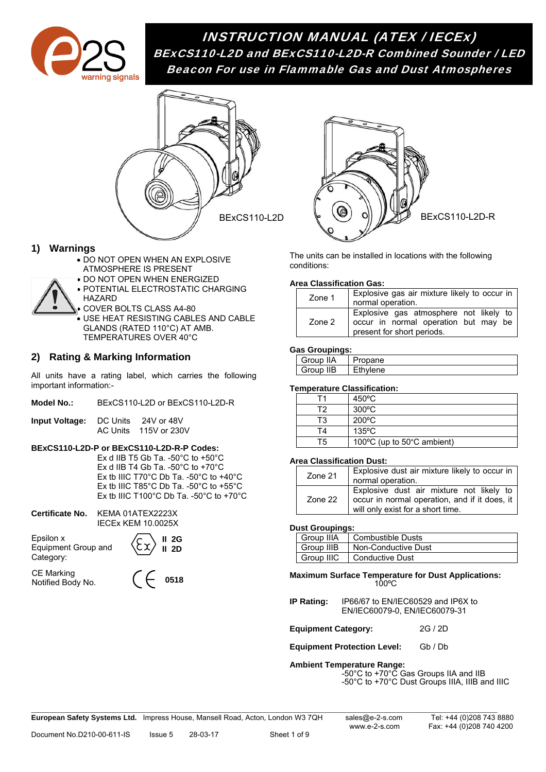

# INSTRUCTION MANUAL (ATEX / IECEx) BExCS110-L2D and BExCS110-L2D-R Combined Sounder / LED Beacon For use in Flammable Gas and Dust Atmospheres



### **1) Warnings**

- DO NOT OPEN WHEN AN EXPLOSIVE ATMOSPHERE IS PRESENT
- **DO NOT OPEN WHEN ENERGIZED**
- **POTENTIAL ELECTROSTATIC CHARGING** HAZARD
- COVER BOLTS CLASS A4-80 USE HEAT RESISTING CABLES AND CABLE GLANDS (RATED 110°C) AT AMB. TEMPERATURES OVER 40°C

# **2) Rating & Marking Information**

All units have a rating label, which carries the following important information:-

| Input Voltage: | DC Units | 24V or 48V            |  |
|----------------|----------|-----------------------|--|
|                |          | AC Units 115V or 230V |  |

### **BExCS110-L2D-P or BExCS110-L2D-R-P Codes:**

Ex d IIB T5 Gb Ta. -50°C to +50°C Ex d IIB T4 Gb Ta. -50°C to +70°C Ex tb IIIC T70°C Db Ta. -50°C to +40°C Ex tb IIIC T85°C Db Ta. -50°C to +55°C Ex tb IIIC T100°C Db Ta. -50°C to +70°C

**II 2G** 

| Certificate No. KEMA 01ATEX2223X |
|----------------------------------|
| <b>IECEX KEM 10.0025X</b>        |

Epsilon x Equipment Group and Category:

**II 2D** 

CE Marking Notified Body No.





The units can be installed in locations with the following conditions:

#### **Area Classification Gas:**

| Zone 1 | Explosive gas air mixture likely to occur in<br>normal operation.                                            |
|--------|--------------------------------------------------------------------------------------------------------------|
| Zone 2 | Explosive gas atmosphere not likely to<br>occur in normal operation but may be<br>present for short periods. |

#### **Gas Groupings:**

| Group IIA | `ropane |
|-----------|---------|
| Group IIB | าviene  |

#### **Temperature Classification:**

|    | $450^{\circ}$ C            |
|----|----------------------------|
| г٥ | $300^{\circ}$ C            |
| Т3 | $200^{\circ}$ C            |
| ГΔ | $135^{\circ}$ C            |
| ⊤ฅ | 100°C (up to 50°C ambient) |

#### **Area Classification Dust:**

| Zone 21 | Explosive dust air mixture likely to occur in<br>normal operation.                                                             |  |
|---------|--------------------------------------------------------------------------------------------------------------------------------|--|
| Zone 22 | Explosive dust air mixture not likely to<br>occur in normal operation, and if it does, it<br>will only exist for a short time. |  |

#### **Dust Groupings:**

| Group IIIA | <b>Combustible Dusts</b> |
|------------|--------------------------|
| Group IIIB | Non-Conductive Dust      |
| Group IIIC | <b>Conductive Dust</b>   |

**Maximum Surface Temperature for Dust Applications:**  100ºC

**IP Rating:** IP66/67 to EN/IEC60529 and IP6X to EN/IEC60079-0, EN/IEC60079-31

**Equipment Category:** 2G / 2D

**Equipment Protection Level:** Gb / Db

#### **Ambient Temperature Range:**

-50°C to +70°C Gas Groups IIA and IIB -50°C to +70°C Dust Groups IIIA, IIIB and IIIC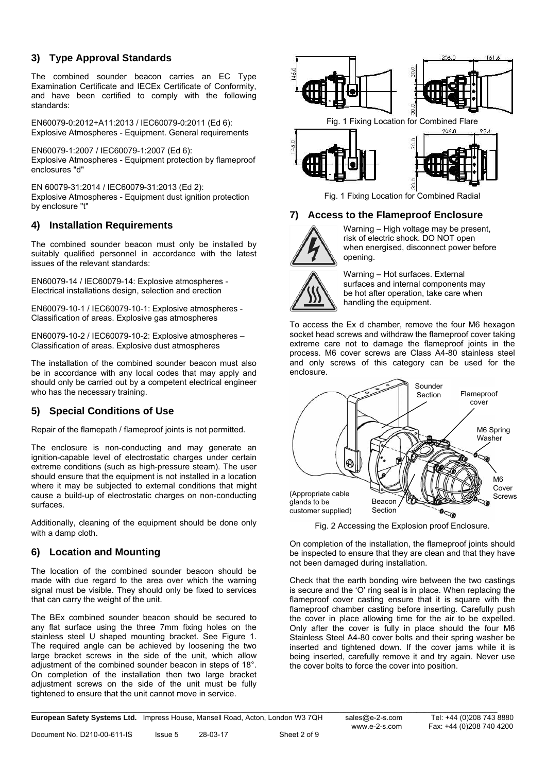# **3) Type Approval Standards**

The combined sounder beacon carries an EC Type Examination Certificate and IECEx Certificate of Conformity, and have been certified to comply with the following standards:

EN60079-0:2012+A11:2013 / IEC60079-0:2011 (Ed 6): Explosive Atmospheres - Equipment. General requirements

EN60079-1:2007 / IEC60079-1:2007 (Ed 6): Explosive Atmospheres - Equipment protection by flameproof enclosures "d"

EN 60079-31:2014 / IEC60079-31:2013 (Ed 2): Explosive Atmospheres - Equipment dust ignition protection by enclosure "t"

### **4) Installation Requirements**

The combined sounder beacon must only be installed by suitably qualified personnel in accordance with the latest issues of the relevant standards:

EN60079-14 / IEC60079-14: Explosive atmospheres - Electrical installations design, selection and erection

EN60079-10-1 / IEC60079-10-1: Explosive atmospheres - Classification of areas. Explosive gas atmospheres

EN60079-10-2 / IEC60079-10-2: Explosive atmospheres – Classification of areas. Explosive dust atmospheres

The installation of the combined sounder beacon must also be in accordance with any local codes that may apply and should only be carried out by a competent electrical engineer who has the necessary training.

# **5) Special Conditions of Use**

Repair of the flamepath / flameproof joints is not permitted.

The enclosure is non-conducting and may generate an ignition-capable level of electrostatic charges under certain extreme conditions (such as high-pressure steam). The user should ensure that the equipment is not installed in a location where it may be subjected to external conditions that might cause a build-up of electrostatic charges on non-conducting surfaces.

Additionally, cleaning of the equipment should be done only with a damp cloth.

# **6) Location and Mounting**

The location of the combined sounder beacon should be made with due regard to the area over which the warning signal must be visible. They should only be fixed to services that can carry the weight of the unit.

The BEx combined sounder beacon should be secured to any flat surface using the three 7mm fixing holes on the stainless steel U shaped mounting bracket. See Figure 1. The required angle can be achieved by loosening the two large bracket screws in the side of the unit, which allow adjustment of the combined sounder beacon in steps of 18°. On completion of the installation then two large bracket adjustment screws on the side of the unit must be fully tightened to ensure that the unit cannot move in service.



Fig. 1 Fixing Location for Combined Radial

### **7) Access to the Flameproof Enclosure**



Warning – High voltage may be present, risk of electric shock. DO NOT open when energised, disconnect power before opening.



To access the Ex d chamber, remove the four M6 hexagon socket head screws and withdraw the flameproof cover taking extreme care not to damage the flameproof joints in the process. M6 cover screws are Class A4-80 stainless steel and only screws of this category can be used for the enclosure.



Fig. 2 Accessing the Explosion proof Enclosure.

On completion of the installation, the flameproof joints should be inspected to ensure that they are clean and that they have not been damaged during installation.

Check that the earth bonding wire between the two castings is secure and the 'O' ring seal is in place. When replacing the flameproof cover casting ensure that it is square with the flameproof chamber casting before inserting. Carefully push the cover in place allowing time for the air to be expelled. Only after the cover is fully in place should the four M6 Stainless Steel A4-80 cover bolts and their spring washer be inserted and tightened down. If the cover jams while it is being inserted, carefully remove it and try again. Never use the cover bolts to force the cover into position.

\_\_\_\_\_\_\_\_\_\_\_\_\_\_\_\_\_\_\_\_\_\_\_\_\_\_\_\_\_\_\_\_\_\_\_\_\_\_\_\_\_\_\_\_\_\_\_\_\_\_\_\_\_\_\_\_\_\_\_\_\_\_\_\_\_\_\_\_\_\_\_\_\_\_\_\_\_\_\_\_\_\_\_\_\_\_\_\_\_\_\_\_\_\_\_\_\_\_\_\_\_\_\_\_\_\_\_\_\_\_\_\_\_\_\_\_\_\_\_\_\_\_\_\_\_\_\_ **European Safety Systems Ltd.** Impress House, Mansell Road, Acton, London W3 7QH sales@e-2-s.com Tel: +44 (0)208 743 8880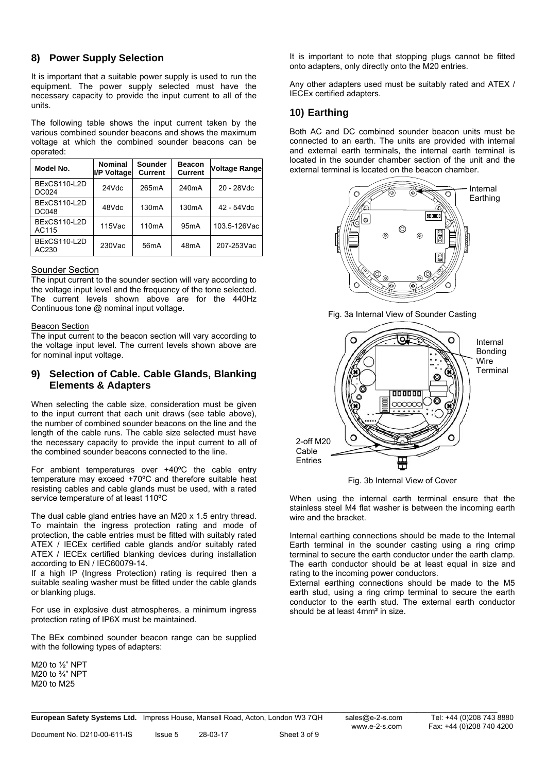### **8) Power Supply Selection**

It is important that a suitable power supply is used to run the equipment. The power supply selected must have the necessary capacity to provide the input current to all of the units.

The following table shows the input current taken by the various combined sounder beacons and shows the maximum voltage at which the combined sounder beacons can be operated:

| Model No.                    | <b>Nominal</b><br>I/P Voltage | Sounder<br><b>Current</b> | <b>Beacon</b><br><b>Current</b> | <b>Voltage Range</b> |
|------------------------------|-------------------------------|---------------------------|---------------------------------|----------------------|
| BExCS110-L2D<br><b>DC024</b> | 24Vdc                         | 265mA                     | 240 <sub>m</sub> A              | 20 - 28Vdc           |
| BExCS110-L2D<br><b>DC048</b> | 48Vdc                         | 130 <sub>m</sub> A        | 130 <sub>m</sub> A              | 42 - 54Vdc           |
| BExCS110-L2D<br>AC115        | 115Vac                        | 110 <sub>m</sub> A        | 95 <sub>m</sub> A               | 103.5-126Vac         |
| BExCS110-L2D<br>AC230        | 230Vac                        | 56 <sub>m</sub> A         | 48 <sub>m</sub> A               | 207-253Vac           |

#### Sounder Section

The input current to the sounder section will vary according to the voltage input level and the frequency of the tone selected. The current levels shown above are for the 440Hz Continuous tone @ nominal input voltage.

#### **Beacon Section**

The input current to the beacon section will vary according to the voltage input level. The current levels shown above are for nominal input voltage.

### **9) Selection of Cable. Cable Glands, Blanking Elements & Adapters**

When selecting the cable size, consideration must be given to the input current that each unit draws (see table above), the number of combined sounder beacons on the line and the length of the cable runs. The cable size selected must have the necessary capacity to provide the input current to all of the combined sounder beacons connected to the line.

For ambient temperatures over +40ºC the cable entry temperature may exceed +70ºC and therefore suitable heat resisting cables and cable glands must be used, with a rated service temperature of at least 110ºC

The dual cable gland entries have an M20 x 1.5 entry thread. To maintain the ingress protection rating and mode of protection, the cable entries must be fitted with suitably rated ATEX / IECEx certified cable glands and/or suitably rated ATEX / IECEx certified blanking devices during installation according to EN / IEC60079-14.

If a high IP (Ingress Protection) rating is required then a suitable sealing washer must be fitted under the cable glands or blanking plugs.

For use in explosive dust atmospheres, a minimum ingress protection rating of IP6X must be maintained.

The BEx combined sounder beacon range can be supplied with the following types of adapters:

M20 to ½" NPT M20 to ¾" NPT M20 to M25

It is important to note that stopping plugs cannot be fitted onto adapters, only directly onto the M20 entries.

Any other adapters used must be suitably rated and ATEX / IECEx certified adapters.

# **10) Earthing**

Both AC and DC combined sounder beacon units must be connected to an earth. The units are provided with internal and external earth terminals, the internal earth terminal is located in the sounder chamber section of the unit and the external terminal is located on the beacon chamber.



Fig. 3a Internal View of Sounder Casting



Fig. 3b Internal View of Cover

When using the internal earth terminal ensure that the stainless steel M4 flat washer is between the incoming earth wire and the bracket.

Internal earthing connections should be made to the Internal Earth terminal in the sounder casting using a ring crimp terminal to secure the earth conductor under the earth clamp. The earth conductor should be at least equal in size and rating to the incoming power conductors.

External earthing connections should be made to the M5 earth stud, using a ring crimp terminal to secure the earth conductor to the earth stud. The external earth conductor should be at least 4mm² in size.

\_\_\_\_\_\_\_\_\_\_\_\_\_\_\_\_\_\_\_\_\_\_\_\_\_\_\_\_\_\_\_\_\_\_\_\_\_\_\_\_\_\_\_\_\_\_\_\_\_\_\_\_\_\_\_\_\_\_\_\_\_\_\_\_\_\_\_\_\_\_\_\_\_\_\_\_\_\_\_\_\_\_\_\_\_\_\_\_\_\_\_\_\_\_\_\_\_\_\_\_\_\_\_\_\_\_\_\_\_\_\_\_\_\_\_\_\_\_\_\_\_\_\_\_\_\_\_ **European Safety Systems Ltd.** Impress House, Mansell Road, Acton, London W3 7QH sales@e-2-s.com Tel: +44 (0)208 743 8880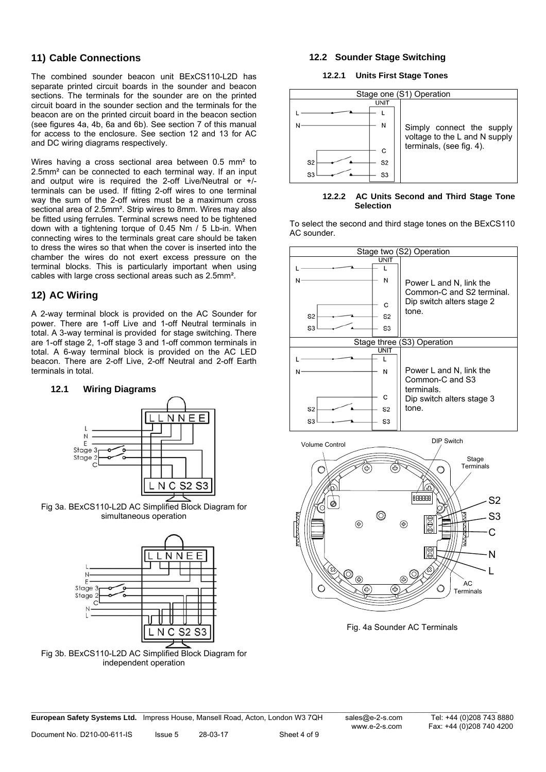### **11) Cable Connections**

The combined sounder beacon unit BExCS110-L2D has separate printed circuit boards in the sounder and beacon sections. The terminals for the sounder are on the printed circuit board in the sounder section and the terminals for the beacon are on the printed circuit board in the beacon section (see figures 4a, 4b, 6a and 6b). See section 7 of this manual for access to the enclosure. See section 12 and 13 for AC and DC wiring diagrams respectively.

Wires having a cross sectional area between 0.5 mm<sup>2</sup> to 2.5mm² can be connected to each terminal way. If an input and output wire is required the 2-off Live/Neutral or +/ terminals can be used. If fitting 2-off wires to one terminal way the sum of the 2-off wires must be a maximum cross sectional area of 2.5mm². Strip wires to 8mm. Wires may also be fitted using ferrules. Terminal screws need to be tightened down with a tightening torque of 0.45 Nm / 5 Lb-in. When connecting wires to the terminals great care should be taken to dress the wires so that when the cover is inserted into the chamber the wires do not exert excess pressure on the terminal blocks. This is particularly important when using cables with large cross sectional areas such as 2.5mm².

# **12) AC Wiring**

A 2-way terminal block is provided on the AC Sounder for power. There are 1-off Live and 1-off Neutral terminals in total. A 3-way terminal is provided for stage switching. There are 1-off stage 2, 1-off stage 3 and 1-off common terminals in total. A 6-way terminal block is provided on the AC LED beacon. There are 2-off Live, 2-off Neutral and 2-off Earth terminals in total.

### **12.1 Wiring Diagrams**



Fig 3a. BExCS110-L2D AC Simplified Block Diagram for simultaneous operation



Fig 3b. BExCS110-L2D AC Simplified Block Diagram for independent operation

### **12.2 Sounder Stage Switching**

#### **12.2.1 Units First Stage Tones**



**12.2.2 AC Units Second and Third Stage Tone Selection** 

To select the second and third stage tones on the BExCS110 AC sounder.





Fig. 4a Sounder AC Terminals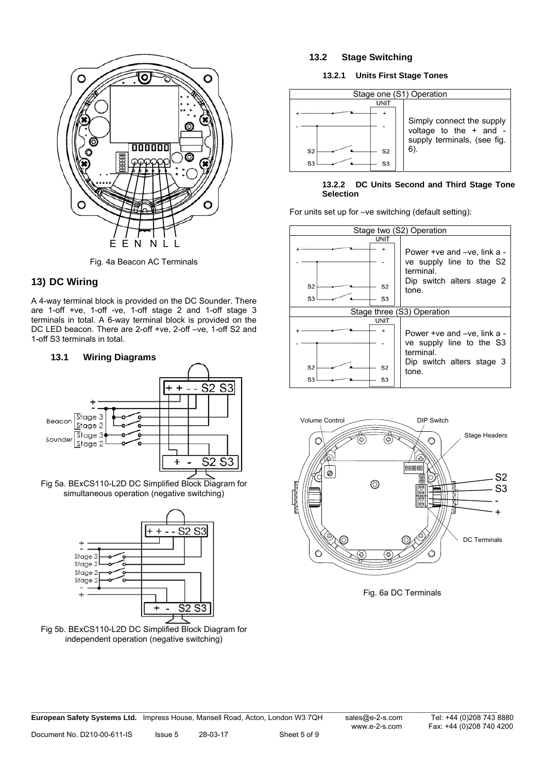

Fig. 4a Beacon AC Terminals

### **13) DC Wiring**

A 4-way terminal block is provided on the DC Sounder. There are 1-off +ve, 1-off -ve, 1-off stage 2 and 1-off stage 3 terminals in total. A 6-way terminal block is provided on the DC LED beacon. There are 2-off +ve, 2-off –ve, 1-off S2 and 1-off S3 terminals in total.



Fig 5a. BExCS110-L2D DC Simplified Block Diagram for simultaneous operation (negative switching)



Fig 5b. BExCS110-L2D DC Simplified Block Diagram for independent operation (negative switching)

### **13.2 Stage Switching**

### **13.2.1 Units First Stage Tones**



### **13.2.2 DC Units Second and Third Stage Tone Selection**

For units set up for –ve switching (default setting):





Fig. 6a DC Terminals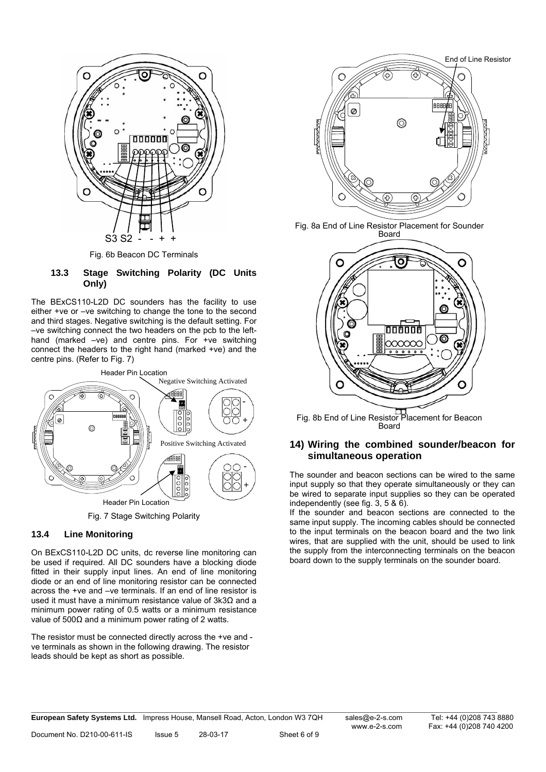

Fig. 6b Beacon DC Terminals

#### **13.3 Stage Switching Polarity (DC Units Only)**

The BExCS110-L2D DC sounders has the facility to use either +ve or –ve switching to change the tone to the second and third stages. Negative switching is the default setting. For –ve switching connect the two headers on the pcb to the lefthand (marked –ve) and centre pins. For +ve switching connect the headers to the right hand (marked +ve) and the centre pins. (Refer to Fig. 7)



Fig. 7 Stage Switching Polarity

### **13.4 Line Monitoring**

On BExCS110-L2D DC units, dc reverse line monitoring can be used if required. All DC sounders have a blocking diode fitted in their supply input lines. An end of line monitoring diode or an end of line monitoring resistor can be connected across the +ve and –ve terminals. If an end of line resistor is used it must have a minimum resistance value of 3k3Ω and a minimum power rating of 0.5 watts or a minimum resistance value of 500 $Ω$  and a minimum power rating of 2 watts.

The resistor must be connected directly across the +ve and ve terminals as shown in the following drawing. The resistor leads should be kept as short as possible.



Fig. 8a End of Line Resistor Placement for Sounder Board



Fig. 8b End of Line Resistor Placement for Beacon Board

### **14) Wiring the combined sounder/beacon for simultaneous operation**

The sounder and beacon sections can be wired to the same input supply so that they operate simultaneously or they can be wired to separate input supplies so they can be operated independently (see fig. 3, 5 & 6).

If the sounder and beacon sections are connected to the same input supply. The incoming cables should be connected to the input terminals on the beacon board and the two link wires, that are supplied with the unit, should be used to link the supply from the interconnecting terminals on the beacon board down to the supply terminals on the sounder board.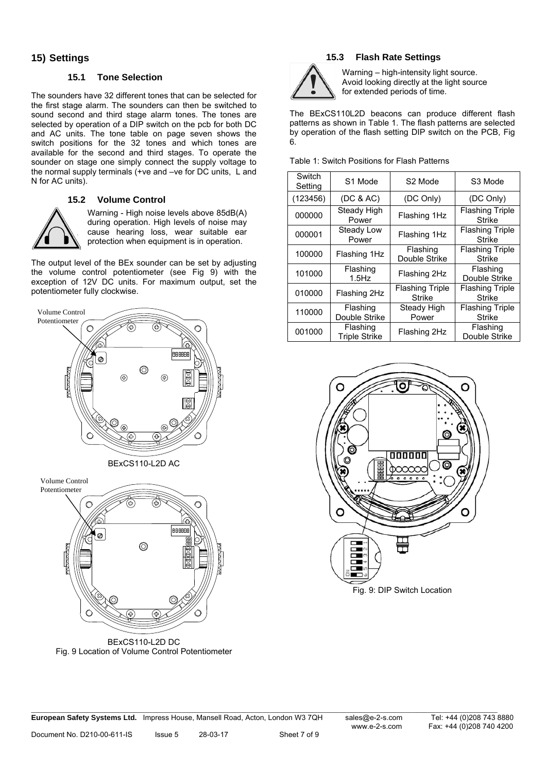### **15) Settings**

### **15.1 Tone Selection**

The sounders have 32 different tones that can be selected for the first stage alarm. The sounders can then be switched to sound second and third stage alarm tones. The tones are selected by operation of a DIP switch on the pcb for both DC and AC units. The tone table on page seven shows the switch positions for the 32 tones and which tones are available for the second and third stages. To operate the sounder on stage one simply connect the supply voltage to the normal supply terminals (+ve and –ve for DC units, L and N for AC units).

### **15.2 Volume Control**



Warning - High noise levels above 85dB(A) during operation. High levels of noise may cause hearing loss, wear suitable ear protection when equipment is in operation.

The output level of the BEx sounder can be set by adjusting the volume control potentiometer (see Fig 9) with the exception of 12V DC units. For maximum output, set the potentiometer fully clockwise.





Volume Control Potentiometer  $\circledcirc$ 

BExCS110-L2D DC Fig. 9 Location of Volume Control Potentiometer

# **15.3 Flash Rate Settings**

Table 1: Switch Positions for Flash Patterns



Warning – high-intensity light source. Avoid looking directly at the light source for extended periods of time.

The BExCS110L2D beacons can produce different flash patterns as shown in Table 1. The flash patterns are selected by operation of the flash setting DIP switch on the PCB, Fig 6.

| Switch<br>Setting | S1 Mode                          | S <sub>2</sub> Mode                     | S3 Mode                                 |
|-------------------|----------------------------------|-----------------------------------------|-----------------------------------------|
| (123456)          | (DC & AC)                        | (DC Only)                               | (DC Only)                               |
| 000000            | Steady High<br>Power             | Flashing 1Hz                            | <b>Flashing Triple</b><br><b>Strike</b> |
| 000001            | Steady Low<br>Power              | Flashing 1Hz                            | <b>Flashing Triple</b><br>Strike        |
| 100000            | Flashing 1Hz                     | Flashing<br>Double Strike               | <b>Flashing Triple</b><br>Strike        |
| 101000            | Flashing<br>$1.5$ Hz             | Flashing 2Hz                            | Flashing<br>Double Strike               |
| 010000            | Flashing 2Hz                     | <b>Flashing Triple</b><br><b>Strike</b> | <b>Flashing Triple</b><br>Strike        |
| 110000            | Flashing<br>Double Strike        | Steady High<br>Power                    | <b>Flashing Triple</b><br><b>Strike</b> |
| 001000            | Flashing<br><b>Triple Strike</b> | Flashing 2Hz                            | Flashing<br>Double Strike               |



Fig. 9: DIP Switch Location

Fax: +44 (0)208 740 4200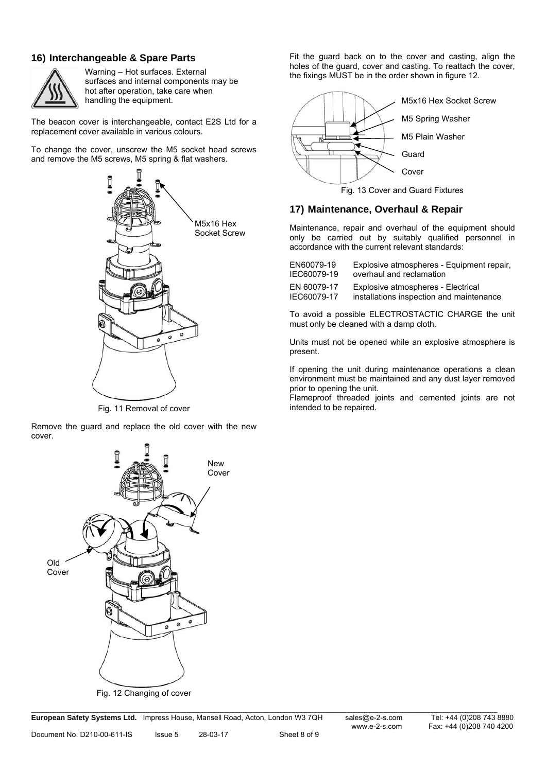# **16) Interchangeable & Spare Parts**



Warning – Hot surfaces. External surfaces and internal components may be hot after operation, take care when

The beacon cover is interchangeable, contact E2S Ltd for a replacement cover available in various colours.

To change the cover, unscrew the M5 socket head screws and remove the M5 screws, M5 spring & flat washers.



Fig. 11 Removal of cover

Remove the guard and replace the old cover with the new cover.



Fig. 12 Changing of cover

\_\_\_\_\_\_\_\_\_\_\_\_\_\_\_\_\_\_\_\_\_\_\_\_\_\_\_\_\_\_\_\_\_\_\_\_\_\_\_\_\_\_\_\_\_\_\_\_\_\_\_\_\_\_\_\_\_\_\_\_\_\_\_\_\_\_\_\_\_\_\_\_\_\_\_\_\_\_\_\_\_\_\_\_\_\_\_\_\_\_\_\_\_\_\_\_\_\_\_\_\_\_\_\_\_\_\_\_\_\_\_\_\_\_\_\_\_\_\_\_\_\_\_\_\_\_\_ **European Safety Systems Ltd.** Impress House, Mansell Road, Acton, London W3 7QH sales@e-2-s.com Tel: +44 (0)208 743 8880

Fax: +44 (0)208 740 4200

Fit the guard back on to the cover and casting, align the holes of the guard, cover and casting. To reattach the cover, the fixings MUST be in the order shown in figure 12.



Fig. 13 Cover and Guard Fixtures

### **17) Maintenance, Overhaul & Repair**

Maintenance, repair and overhaul of the equipment should only be carried out by suitably qualified personnel in accordance with the current relevant standards:

| EN60079-19  | Explosive atmospheres - Equipment repair, |
|-------------|-------------------------------------------|
| IEC60079-19 | overhaul and reclamation                  |
| EN 60079-17 | Explosive atmospheres - Electrical        |
| IEC60079-17 | installations inspection and maintenance  |

To avoid a possible ELECTROSTACTIC CHARGE the unit must only be cleaned with a damp cloth.

Units must not be opened while an explosive atmosphere is present.

If opening the unit during maintenance operations a clean environment must be maintained and any dust layer removed prior to opening the unit.

Flameproof threaded joints and cemented joints are not intended to be repaired.